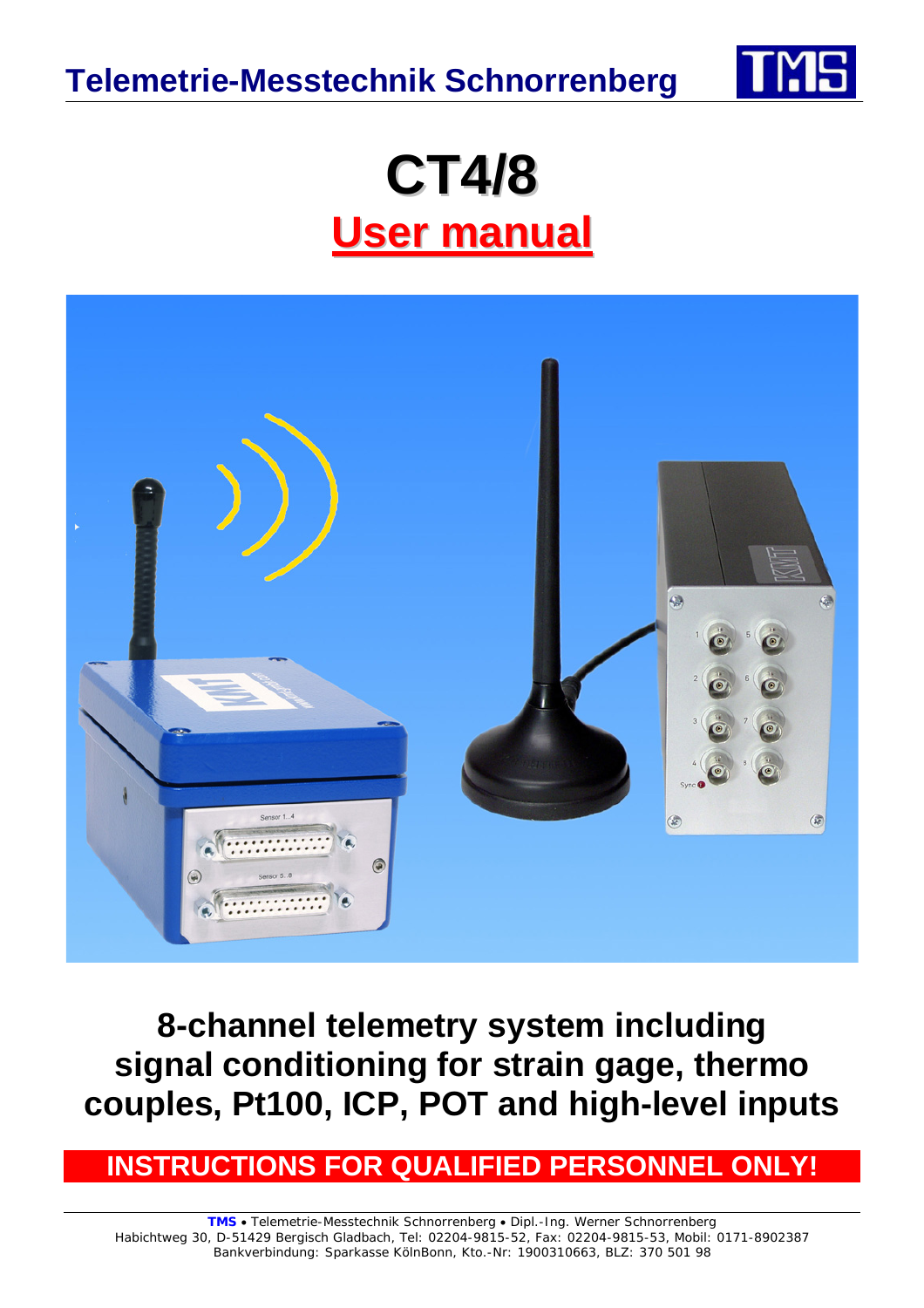**Telemetrie-Messtechnik Schnorrenberg**



# **CT4/8 User manual**



**8-channel telemetry system including signal conditioning for strain gage, thermo couples, Pt100, ICP, POT and high-level inputs** 

**INSTRUCTIONS FOR QUALIFIED PERSONNEL ONL**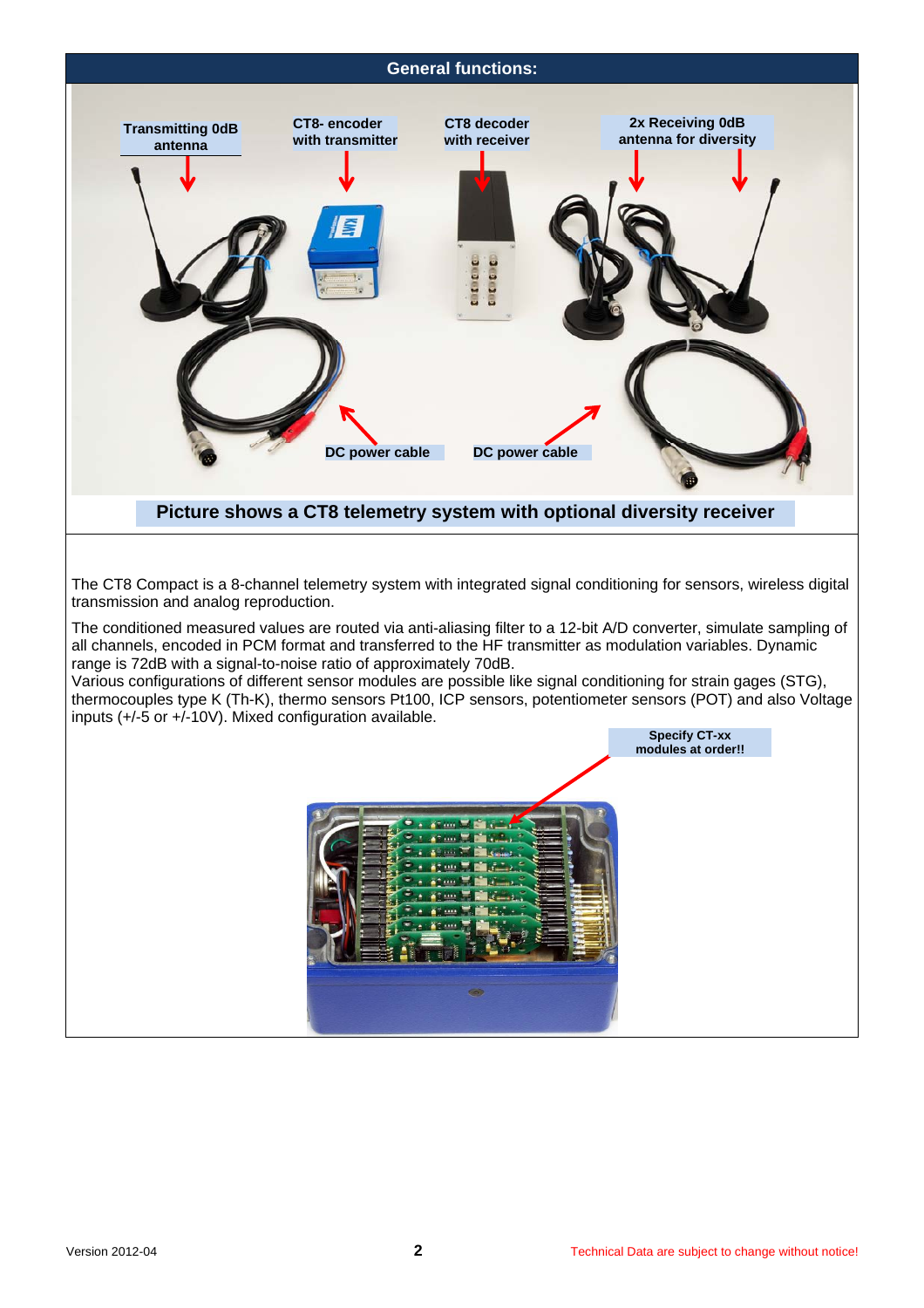## **General functions: CT8- encoder with transmitter CT8 decoder with receiver 2x Receiving 0dB antenna for diversity**

**Caeaco** 

# **Picture shows a CT8 telemetry system with optional diversity receiver**

**DC power cable DC power cable** 

The CT8 Compact is a 8-channel telemetry system with integrated signal conditioning for sensors, wireless digital transmission and analog reproduction.

The conditioned measured values are routed via anti-aliasing filter to a 12-bit A/D converter, simulate sampling of all channels, encoded in PCM format and transferred to the HF transmitter as modulation variables. Dynamic range is 72dB with a signal-to-noise ratio of approximately 70dB.

Various configurations of different sensor modules are possible like signal conditioning for strain gages (STG), thermocouples type K (Th-K), thermo sensors Pt100, ICP sensors, potentiometer sensors (POT) and also Voltage inputs (+/-5 or +/-10V). Mixed configuration available.



**Transmitting 0dB antenna**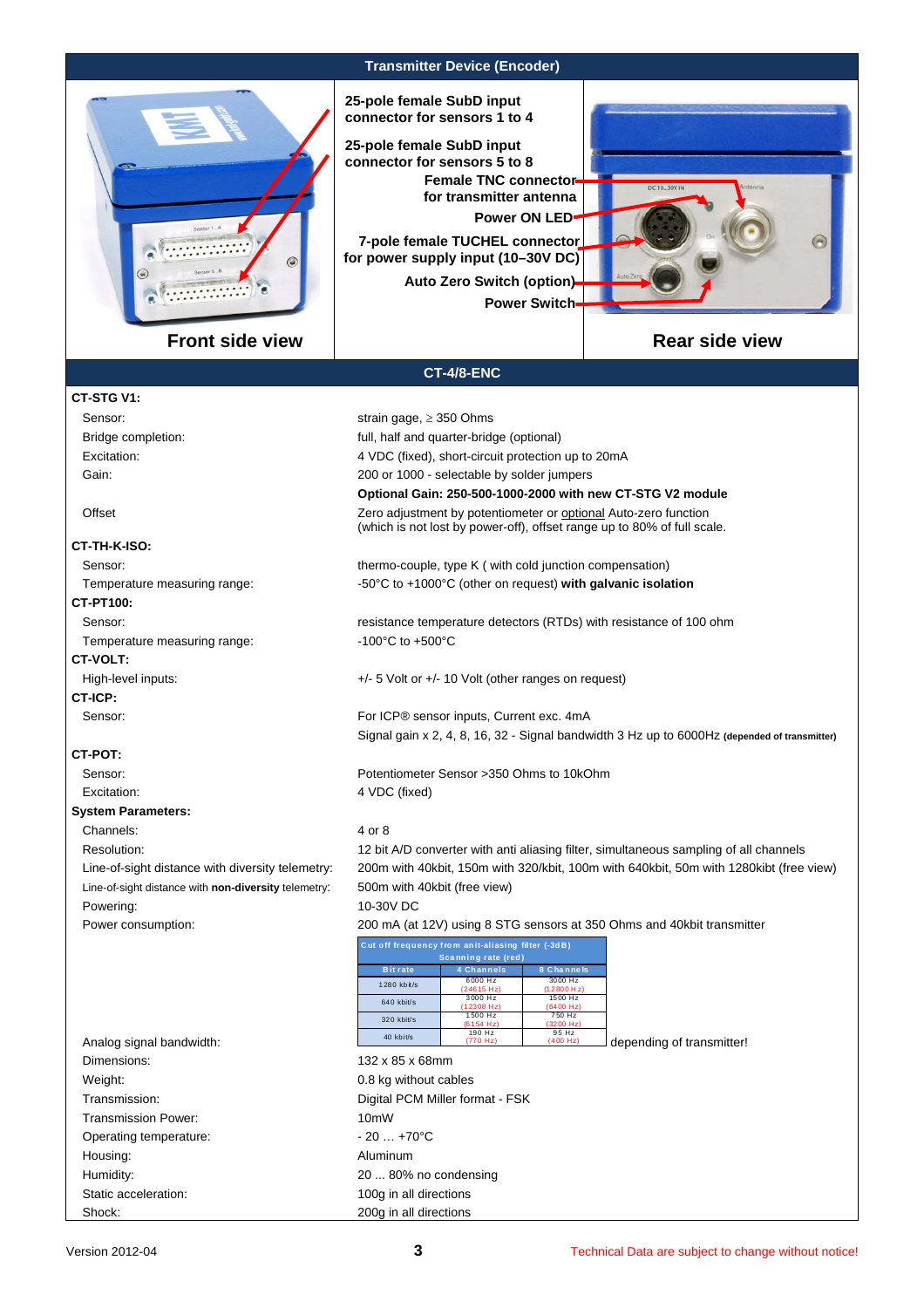

**Transmitter Device (Encoder)** 

**25-pole female SubD input connector for sensors 1 to 4**

**7-pole female TUCHEL connector for power supply input (10–30V DC) 25-pole female SubD input connector for sensors 5 to 8 Power ON LED Female TNC connector for transmitter antenna Auto Zero Switch (option)**

**CT-4/8-ENC** 

**Optional Gain: 250-500-1000-2000 with new CT-STG V2 module** 

**Power Switch**

(which is not lost by power-off), offset range up to 80% of full scale.

# **Rear side view**

#### **CT-STG V1:**

Sensor: strain gage, ≥ 350 Ohms Bridge completion: full, half and quarter-bridge (optional) Excitation: 4 VDC (fixed), short-circuit protection up to 20mA Gain: Gain: 300 or 1000 - selectable by solder jumpers

#### Offset **Zero adjustment by potentiometer or optional Auto-zero function**

# **CT-TH-K-ISO:**

Sensor: thermo-couple, type K ( with cold junction compensation) Sensor:

Temperature measuring range:  $-50^{\circ}$ C to +1000°C (other on request) **with galvanic isolation** 

# **CT-PT100:**

Sensor: **resistance temperature detectors (RTDs)** with resistance of 100 ohm Temperature measuring range:  $-100^{\circ}$ C to +500°C

# **CT-VOLT:**

High-level inputs:  $+/-5$  Volt or  $+/-10$  Volt (other ranges on request)

**CT-ICP:** Sensor: Sensor: Sensor inputs, Current exc. 4mA

### **CT-POT:**

Sensor: Potentiometer Sensor >350 Ohms to 10kOhm

Excitation: 4 VDC (fixed)

#### **System Parameters:** Channels: 4 or 8

Resolution: 12 bit A/D converter with anti aliasing filter, simultaneous sampling of all channels

 Line-of-sight distance with diversity telemetry: 200m with 40kbit, 150m with 320/kbit, 100m with 640kbit, 50m with 1280kibt (free view) Line-of-sight distance with **non-diversity** telemetry: 500m with 40kbit (free view) Powering: 10-30V DC

Power consumption: 200 mA (at 12V) using 8 STG sensors at 350 Ohms and 40kbit transmitter

Signal gain x 2, 4, 8, 16, 32 - Signal bandwidth 3 Hz up to 6000Hz **(depended of transmitter)** 

| Cut off frequency from anit-aliasing filter (-3dB)<br>Scanning rate (red) |                       |                       |  |
|---------------------------------------------------------------------------|-----------------------|-----------------------|--|
| <b>Bit rate</b>                                                           | 4 Channels            | 8 Channels            |  |
| 1280 kbit/s                                                               | 6000 Hz<br>(24615 Hz) | 3000 Hz<br>(12800 Hz) |  |
| 640 kbit/s                                                                | 3000 Hz<br>(12308 Hz) | 1500 Hz<br>(6400 Hz)  |  |
| 320 kbit/s                                                                | 1500 Hz<br>(6154 Hz)  | 750 Hz<br>(3200 Hz)   |  |
| 40 kbit/s                                                                 | 190 Hz<br>(770 Hz)    | 95 Hz<br>(400 Hz)     |  |

| Analog signal bandwidth: | 40 k              |
|--------------------------|-------------------|
| Dimensions:              | $132 \times 8$    |
| Weight:                  | $0.8$ kg          |
| Transmission:            | Digital           |
| Transmission Power:      | 10 <sub>m</sub> W |
| Operating temperature:   | $-20$             |
| Housing:                 | Alumin            |
| Humidity:                | 208               |
| Static acceleration:     | $100q$ in         |

 Dimensions: 132 x 85 x 68mm 0.8 kg without cables Digital PCM Miller format - FSK  $-20... +70$ °C Aluminum 20 ... 80% no condensing 100g in all directions Shock: 200g in all directions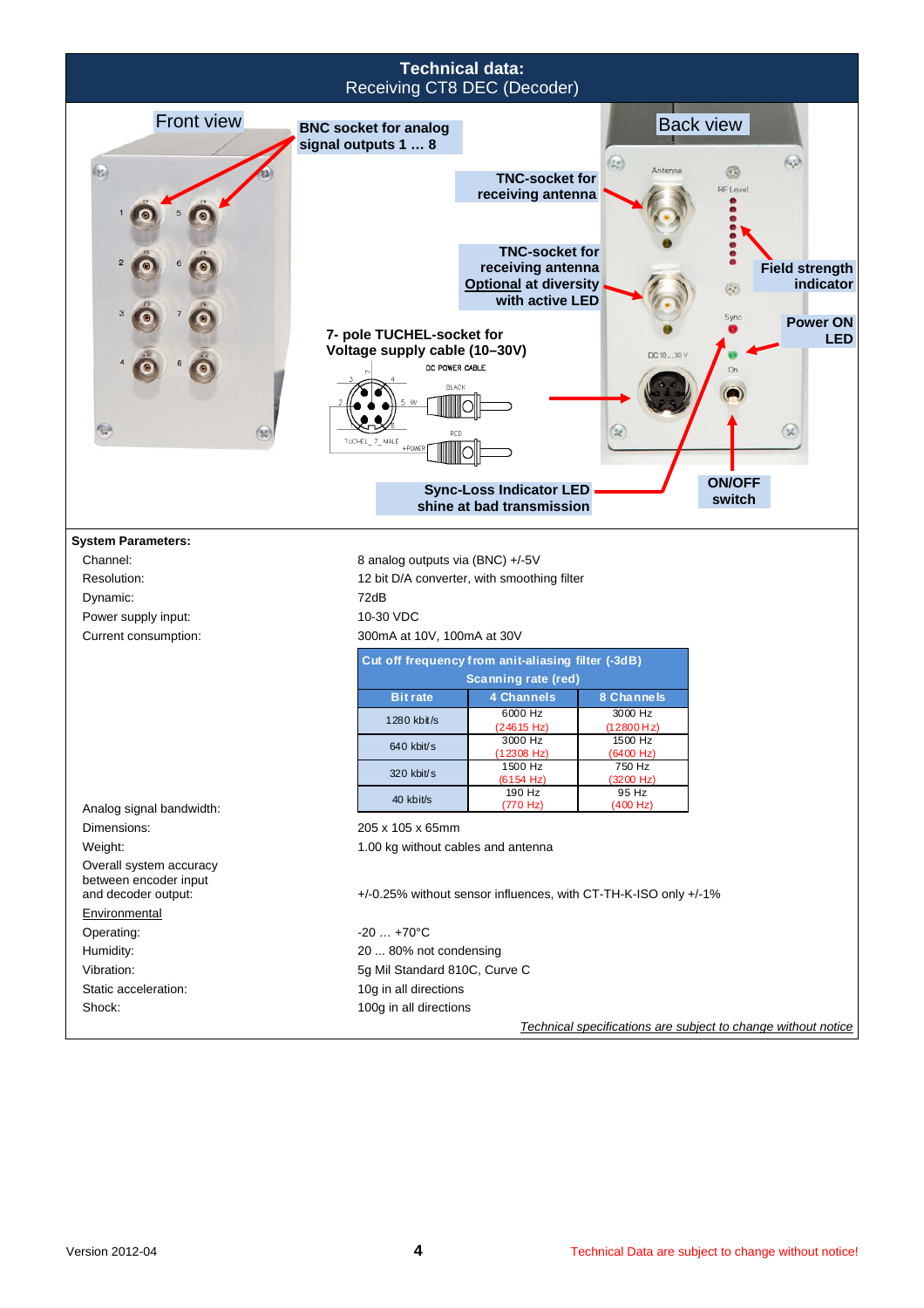|                                                                                                                 | Receiving CT8 DEC (Decoder)                                                                                                                                                | <b>Technical data:</b>                                                                                                                                                      |                                                                                              |                                                                                                                                                         |  |
|-----------------------------------------------------------------------------------------------------------------|----------------------------------------------------------------------------------------------------------------------------------------------------------------------------|-----------------------------------------------------------------------------------------------------------------------------------------------------------------------------|----------------------------------------------------------------------------------------------|---------------------------------------------------------------------------------------------------------------------------------------------------------|--|
| <b>Front view</b><br>$\left( 2\right)$                                                                          | <b>BNC socket for analog</b><br>signal outputs 1  8<br>7- pole TUCHEL-socket for<br>Voltage supply cable (10-30V)<br>DC POWER CABLE<br><b>BLACK</b><br>7 MALE<br>$+$ POWEF | <b>TNC-socket for</b><br>receiving antenna<br><b>TNC-socket for</b><br>receiving antenna<br><b>Optional at diversity</b><br>with active LED                                 | (x)<br>Antenna<br>DC 1030 V<br>28                                                            | <b>Back view</b><br>603<br>68<br><b>RF</b> Level<br><b>Field strength</b><br>indicator<br>Sync<br><b>Power ON</b><br><b>LED</b><br>(3)<br><b>ON/OFF</b> |  |
|                                                                                                                 |                                                                                                                                                                            | <b>Sync-Loss Indicator LED</b><br>shine at bad transmission                                                                                                                 |                                                                                              | switch                                                                                                                                                  |  |
| <b>System Parameters:</b><br>Channel:<br>Resolution:<br>Dynamic:<br>Power supply input:<br>Current consumption: | 8 analog outputs via (BNC) +/-5V<br>72dB<br>10-30 VDC<br>300mA at 10V, 100mA at 30V                                                                                        | 12 bit D/A converter, with smoothing filter<br>Cut off frequency from anit-aliasing filter (-3dB)<br><b>Scanning rate (red)</b>                                             |                                                                                              |                                                                                                                                                         |  |
|                                                                                                                 | <b>Bit rate</b><br>1280 kbit/s<br>640 kbit/s<br>320 kbit/s                                                                                                                 | 4 Channels<br>6000 Hz<br>(24615 Hz)<br>3000 Hz<br>(12308 Hz)<br>1500 Hz<br>(6154 Hz)                                                                                        | 8 Channels<br>3000 Hz<br>(12800 Hz)<br>1500 Hz<br>$(6400 \text{ Hz})$<br>750 Hz<br>(3200 Hz) |                                                                                                                                                         |  |
| Analog signal bandwidth:<br>Dimensions:<br>Weight:                                                              | 40 kbit/s<br>205 x 105 x 65mm<br>1.00 kg without cables and antenna                                                                                                        | 190 Hz<br>(770 Hz)                                                                                                                                                          | 95 Hz<br>(400 Hz)                                                                            |                                                                                                                                                         |  |
| Overall system accuracy<br>between encoder input<br>and decoder output:<br>Environmental                        |                                                                                                                                                                            | +/-0.25% without sensor influences, with CT-TH-K-ISO only +/-1%                                                                                                             |                                                                                              |                                                                                                                                                         |  |
| Operating:<br>Humidity:<br>Vibration:<br>Static acceleration:<br>Shock:                                         | $-20+70$ °C                                                                                                                                                                | 20  80% not condensing<br>5g Mil Standard 810C, Curve C<br>10g in all directions<br>100g in all directions<br>Technical specifications are subject to change without notice |                                                                                              |                                                                                                                                                         |  |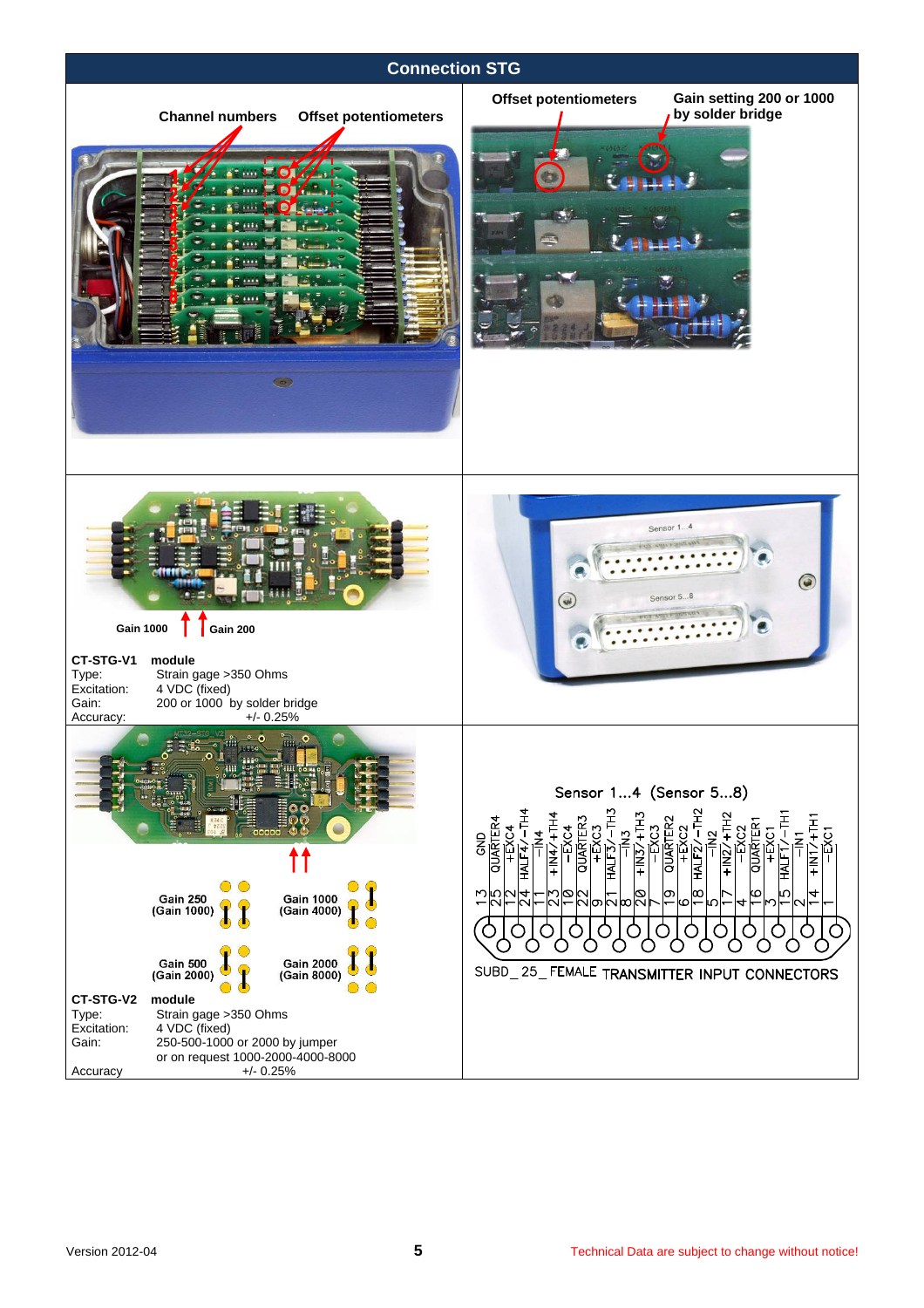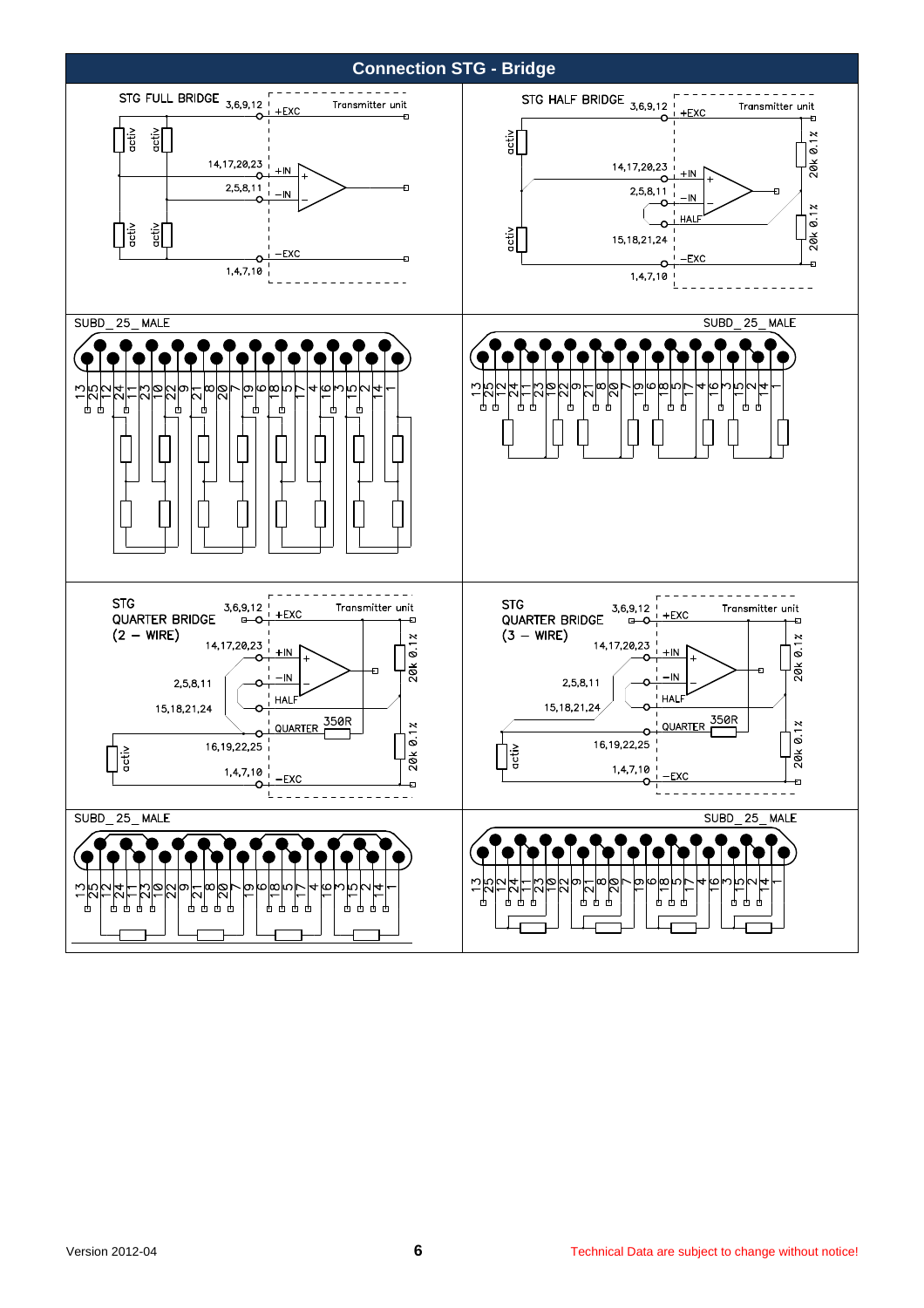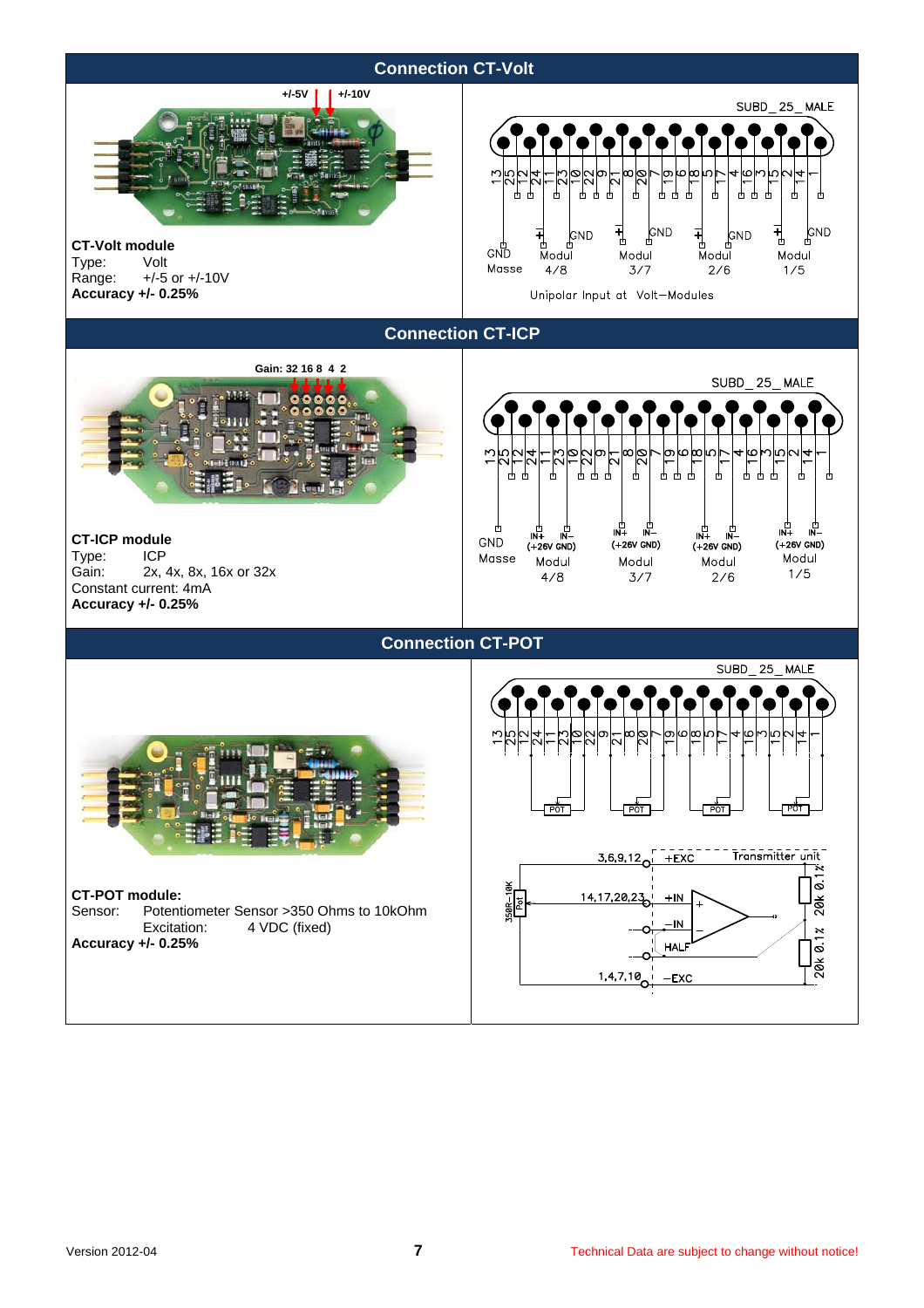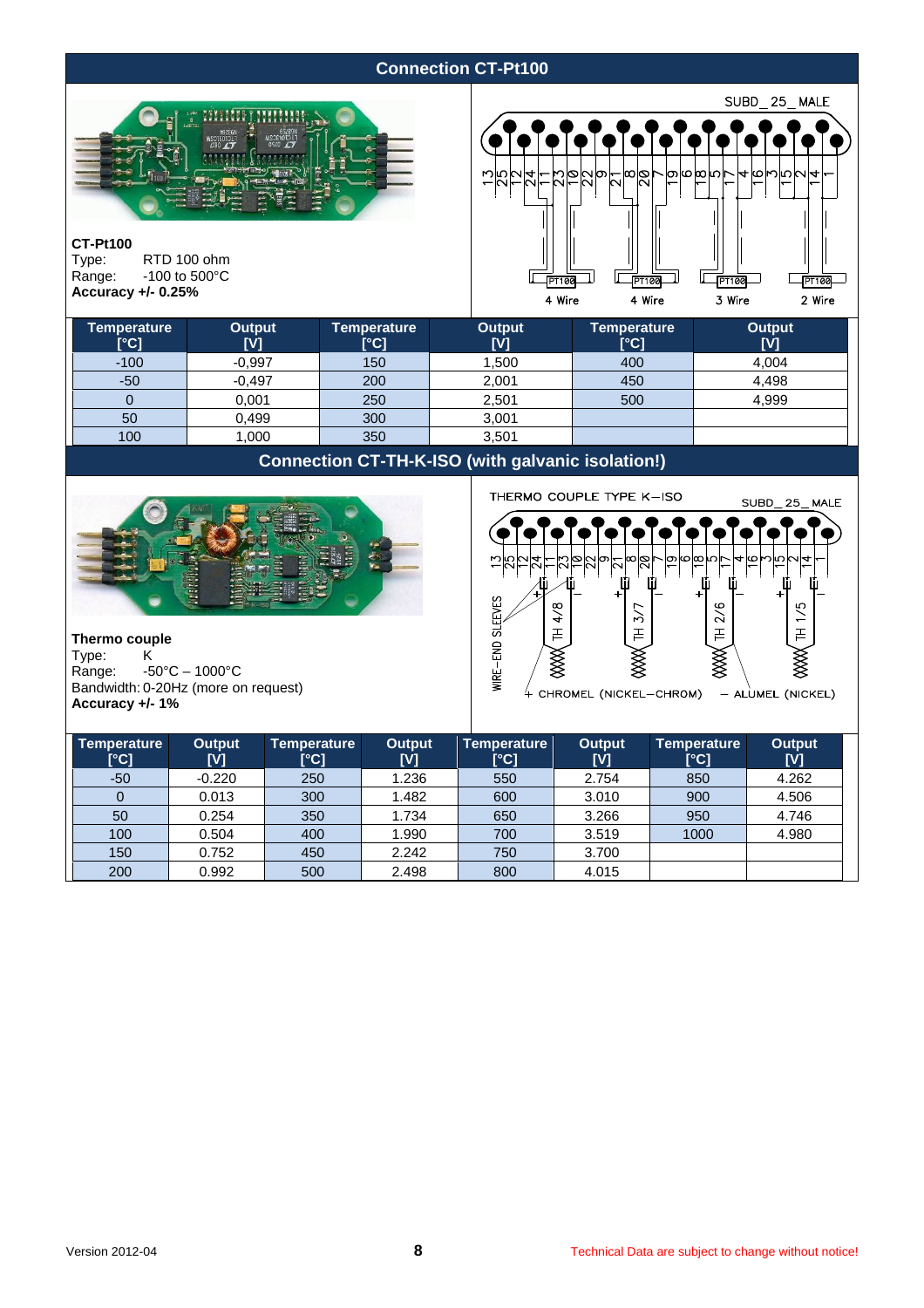# **Connection CT-Pt100**



#### **CT-Pt100**

Type: RTD 100 ohm<br>Range: -100 to 500°C  $-100$  to  $500^{\circ}$ C **Accuracy +/- 0.25%** 



| <b>Temperature</b><br>[°C] | Output<br>[V] | Temperature<br>[°C] | <b>Output</b><br>[V] | <b>Temperature</b><br>[°C] | Output<br>[V] |
|----------------------------|---------------|---------------------|----------------------|----------------------------|---------------|
| $-100$                     | $-0.997$      | 150                 | .500                 | 400                        | 4,004         |
| $-50$                      | $-0,497$      | 200                 | 2,001                | 450                        | 4,498         |
|                            | 0,001         | 250                 | 2,501                | 500                        | 4,999         |
| 50                         | 0,499         | 300                 | 3,001                |                            |               |
| 100                        | 000.          | 350                 | 3,501                |                            |               |

# **Connection CT-TH-K-ISO (with galvanic isolation!)**



**Thermo couple**<br> **Type:** K Type:<br>Range:  $-50^{\circ}$ C – 1000 $^{\circ}$ C Bandwidth: 0-20Hz (more on request) **Accuracy +/- 1%** 



| Temperature<br>[°C] | Output<br>[V] | Temperature<br>[°C] | <b>Output</b><br>[V] | Temperature<br>[°C] | <b>Output</b><br>[V] | <b>Temperature</b><br>[°C] | <b>Output</b><br>[V] |
|---------------------|---------------|---------------------|----------------------|---------------------|----------------------|----------------------------|----------------------|
| $-50$               | $-0.220$      | 250                 | 1.236                | 550                 | 2.754                | 850                        | 4.262                |
|                     | 0.013         | 300                 | 1.482                | 600                 | 3.010                | 900                        | 4.506                |
| 50                  | 0.254         | 350                 | 1.734                | 650                 | 3.266                | 950                        | 4.746                |
| 100                 | 0.504         | 400                 | 1.990                | 700                 | 3.519                | 1000                       | 4.980                |
| 150                 | 0.752         | 450                 | 2.242                | 750                 | 3.700                |                            |                      |
| 200                 | 0.992         | 500                 | 2.498                | 800                 | 4.015                |                            |                      |